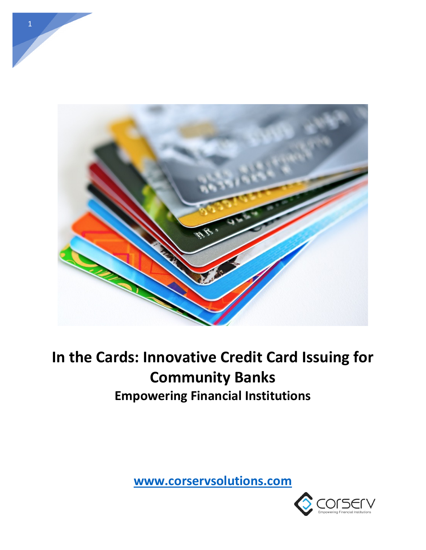

# **In the Cards: Innovative Credit Card Issuing for Community Banks Empowering Financial Institutions**

**[www.corservsolutions.com](http://www.corservsolutions.com/)**

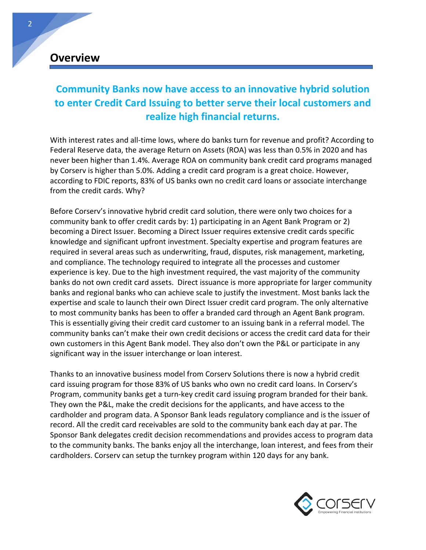### **Overview**

### **Community Banks now have access to an innovative hybrid solution to enter Credit Card Issuing to better serve their local customers and realize high financial returns.**

With interest rates and all-time lows, where do banks turn for revenue and profit? According to Federal Reserve data, the average Return on Assets (ROA) was less than 0.5% in 2020 and has never been higher than 1.4%. Average ROA on community bank credit card programs managed by Corserv is higher than 5.0%. Adding a credit card program is a great choice. However, according to FDIC reports, 83% of US banks own no credit card loans or associate interchange from the credit cards. Why?

Before Corserv's innovative hybrid credit card solution, there were only two choices for a community bank to offer credit cards by: 1) participating in an Agent Bank Program or 2) becoming a Direct Issuer. Becoming a Direct Issuer requires extensive credit cards specific knowledge and significant upfront investment. Specialty expertise and program features are required in several areas such as underwriting, fraud, disputes, risk management, marketing, and compliance. The technology required to integrate all the processes and customer experience is key. Due to the high investment required, the vast majority of the community banks do not own credit card assets. Direct issuance is more appropriate for larger community banks and regional banks who can achieve scale to justify the investment. Most banks lack the expertise and scale to launch their own Direct Issuer credit card program. The only alternative to most community banks has been to offer a branded card through an Agent Bank program. This is essentially giving their credit card customer to an issuing bank in a referral model. The community banks can't make their own credit decisions or access the credit card data for their own customers in this Agent Bank model. They also don't own the P&L or participate in any significant way in the issuer interchange or loan interest.

Thanks to an innovative business model from Corserv Solutions there is now a hybrid credit card issuing program for those 83% of US banks who own no credit card loans. In Corserv's Program, community banks get a turn-key credit card issuing program branded for their bank. They own the P&L, make the credit decisions for the applicants, and have access to the cardholder and program data. A Sponsor Bank leads regulatory compliance and is the issuer of record. All the credit card receivables are sold to the community bank each day at par. The Sponsor Bank delegates credit decision recommendations and provides access to program data to the community banks. The banks enjoy all the interchange, loan interest, and fees from their cardholders. Corserv can setup the turnkey program within 120 days for any bank.

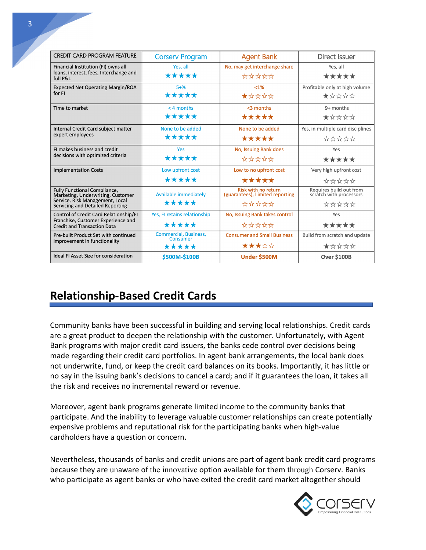| <b>CREDIT CARD PROGRAM FEATURE</b>                                                                                 | <b>Corserv Program</b>                   | <b>Agent Bank</b>                                      | Direct Issuer                                      |  |
|--------------------------------------------------------------------------------------------------------------------|------------------------------------------|--------------------------------------------------------|----------------------------------------------------|--|
| Financial Institution (FI) owns all                                                                                | Yes, all                                 | No, may get interchange share                          | Yes, all                                           |  |
| loans, interest, fees, Interchange and<br>full P&L                                                                 | *****                                    | *****                                                  | *****                                              |  |
| <b>Expected Net Operating Margin/ROA</b>                                                                           | $5 + \%$                                 | $< 1\%$                                                | Profitable only at high volume                     |  |
| for FI                                                                                                             | *****                                    | ★☆☆☆☆                                                  | ★☆☆☆☆                                              |  |
| Time to market                                                                                                     | $<$ 4 months                             | <3 months                                              | 9+ months                                          |  |
|                                                                                                                    | *****                                    | *****                                                  | ★☆☆☆☆                                              |  |
| Internal Credit Card subject matter                                                                                | None to be added                         | None to be added                                       | Yes, in multiple card disciplines                  |  |
| expert employees                                                                                                   | *****                                    | *****                                                  | *****                                              |  |
| FI makes business and credit<br>decisions with optimized criteria                                                  | Yes                                      | No, Issuing Bank does                                  | Yes                                                |  |
|                                                                                                                    | *****                                    | ☆☆☆☆☆                                                  | *****                                              |  |
| <b>Implementation Costs</b>                                                                                        | Low upfront cost                         | Low to no upfront cost                                 | Very high upfront cost                             |  |
|                                                                                                                    | *****                                    | *****                                                  | *****                                              |  |
| Fully Functional Compliance,<br>Marketing, Underwriting, Customer                                                  | <b>Available immediately</b>             | Risk with no return<br>(guarantees), Limited reporting | Requires build out from<br>scratch with processors |  |
| Service, Risk Management, Local<br>Servicing and Detailed Reporting                                                | *****                                    | *****                                                  | *****                                              |  |
| Control of Credit Card Relationship/FI<br>Franchise, Customer Experience and<br><b>Credit and Transaction Data</b> | Yes, FI retains relationship             | No, Issuing Bank takes control                         | Yes                                                |  |
|                                                                                                                    | *****                                    | *****                                                  | *****                                              |  |
| Pre-built Product Set with continued<br>improvement in functionality                                               | <b>Commercial, Business,</b><br>Consumer | <b>Consumer and Small Business</b>                     | Build from scratch and update                      |  |
|                                                                                                                    | *****                                    | ★★★☆☆                                                  | ★☆☆☆☆                                              |  |
| Ideal FI Asset Size for consideration                                                                              | \$500M-\$100B                            | <b>Under \$500M</b>                                    | <b>Over \$100B</b>                                 |  |

# **Relationship-Based Credit Cards**

Community banks have been successful in building and serving local relationships. Credit cards are a great product to deepen the relationship with the customer. Unfortunately, with Agent Bank programs with major credit card issuers, the banks cede control over decisions being made regarding their credit card portfolios. In agent bank arrangements, the local bank does not underwrite, fund, or keep the credit card balances on its books. Importantly, it has little or no say in the issuing bank's decisions to cancel a card; and if it guarantees the loan, it takes all the risk and receives no incremental reward or revenue.

Moreover, agent bank programs generate limited income to the community banks that participate. And the inability to leverage valuable customer relationships can create potentially expensive problems and reputational risk for the participating banks when high-value cardholders have a question or concern.

Nevertheless, thousands of banks and credit unions are part of agent bank credit card programs because they are unaware of the innovative option available for them through Corserv. Banks who participate as agent banks or who have exited the credit card market altogether should

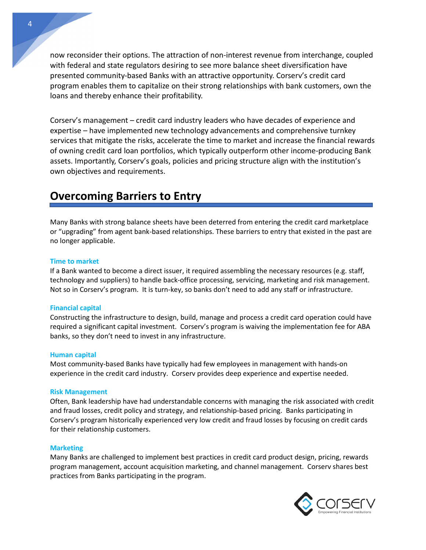now reconsider their options. The attraction of non-interest revenue from interchange, coupled with federal and state regulators desiring to see more balance sheet diversification have presented community-based Banks with an attractive opportunity. Corserv's credit card program enables them to capitalize on their strong relationships with bank customers, own the loans and thereby enhance their profitability.

Corserv's management – credit card industry leaders who have decades of experience and expertise – have implemented new technology advancements and comprehensive turnkey services that mitigate the risks, accelerate the time to market and increase the financial rewards of owning credit card loan portfolios, which typically outperform other income-producing Bank assets. Importantly, Corserv's goals, policies and pricing structure align with the institution's own objectives and requirements.

### **Overcoming Barriers to Entry**

Many Banks with strong balance sheets have been deterred from entering the credit card marketplace or "upgrading" from agent bank-based relationships. These barriers to entry that existed in the past are no longer applicable.

#### **Time to market**

If a Bank wanted to become a direct issuer, it required assembling the necessary resources (e.g. staff, technology and suppliers) to handle back-office processing, servicing, marketing and risk management. Not so in Corserv's program. It is turn-key, so banks don't need to add any staff or infrastructure.

#### **Financial capital**

Constructing the infrastructure to design, build, manage and process a credit card operation could have required a significant capital investment. Corserv's program is waiving the implementation fee for ABA banks, so they don't need to invest in any infrastructure.

#### **Human capital**

Most community-based Banks have typically had few employees in management with hands-on experience in the credit card industry. Corserv provides deep experience and expertise needed.

#### **Risk Management**

Often, Bank leadership have had understandable concerns with managing the risk associated with credit and fraud losses, credit policy and strategy, and relationship-based pricing. Banks participating in Corserv's program historically experienced very low credit and fraud losses by focusing on credit cards for their relationship customers.

#### **Marketing**

Many Banks are challenged to implement best practices in credit card product design, pricing, rewards program management, account acquisition marketing, and channel management. Corserv shares best practices from Banks participating in the program.

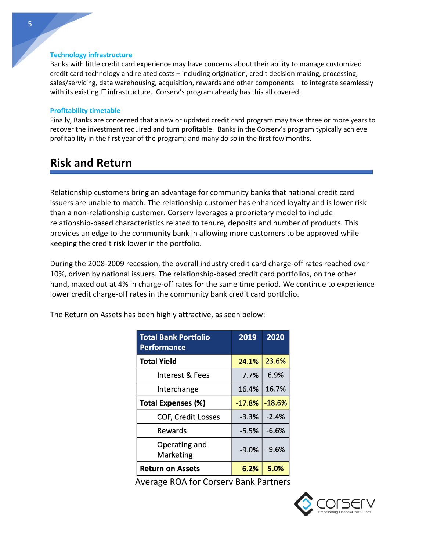#### **Technology infrastructure**

Banks with little credit card experience may have concerns about their ability to manage customized credit card technology and related costs – including origination, credit decision making, processing, sales/servicing, data warehousing, acquisition, rewards and other components – to integrate seamlessly with its existing IT infrastructure. Corserv's program already has this all covered.

#### **Profitability timetable**

Finally, Banks are concerned that a new or updated credit card program may take three or more years to recover the investment required and turn profitable. Banks in the Corserv's program typically achieve profitability in the first year of the program; and many do so in the first few months.

### **Risk and Return**

Relationship customers bring an advantage for community banks that national credit card issuers are unable to match. The relationship customer has enhanced loyalty and is lower risk than a non-relationship customer. Corserv leverages a proprietary model to include relationship-based characteristics related to tenure, deposits and number of products. This provides an edge to the community bank in allowing more customers to be approved while keeping the credit risk lower in the portfolio.

During the 2008-2009 recession, the overall industry credit card charge-off rates reached over 10%, driven by national issuers. The relationship-based credit card portfolios, on the other hand, maxed out at 4% in charge-off rates for the same time period. We continue to experience lower credit charge-off rates in the community bank credit card portfolio.

| <b>Total Bank Portfolio</b><br><b>Performance</b> | 2019     | 2020     |
|---------------------------------------------------|----------|----------|
| <b>Total Yield</b>                                | 24.1%    | 23.6%    |
| <b>Interest &amp; Fees</b>                        | 7.7%     | 6.9%     |
| Interchange                                       | 16.4%    | 16.7%    |
| <b>Total Expenses (%)</b>                         | $-17.8%$ | $-18.6%$ |
| <b>COF, Credit Losses</b>                         | $-3.3%$  | $-2.4%$  |
| Rewards                                           | $-5.5%$  | $-6.6%$  |
| Operating and<br>Marketing                        | $-9.0%$  | $-9.6%$  |
| <b>Return on Assets</b>                           | 6.2%     | 5.0%     |

The Return on Assets has been highly attractive, as seen below:

Average ROA for Corserv Bank Partners

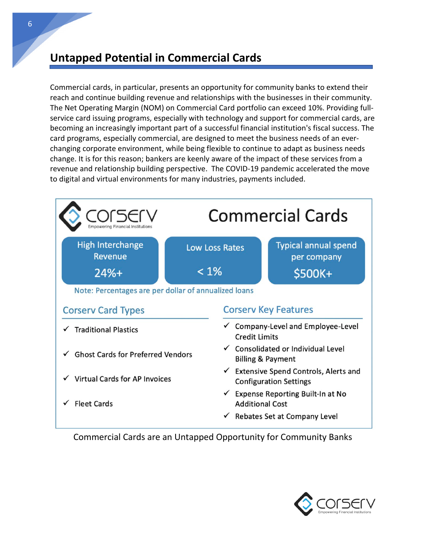### **Untapped Potential in Commercial Cards**

Commercial cards, in particular, presents an opportunity for community banks to extend their reach and continue building revenue and relationships with the businesses in their community. The Net Operating Margin (NOM) on Commercial Card portfolio can exceed 10%. Providing fullservice card issuing programs, especially with technology and support for commercial cards, are becoming an increasingly important part of a successful financial institution's fiscal success. The card programs, especially commercial, are designed to meet the business needs of an everchanging corporate environment, while being flexible to continue to adapt as business needs change. It is for this reason; bankers are keenly aware of the impact of these services from a revenue and relationship building perspective. The COVID-19 pandemic accelerated the move to digital and virtual environments for many industries, payments included.



Commercial Cards are an Untapped Opportunity for Community Banks

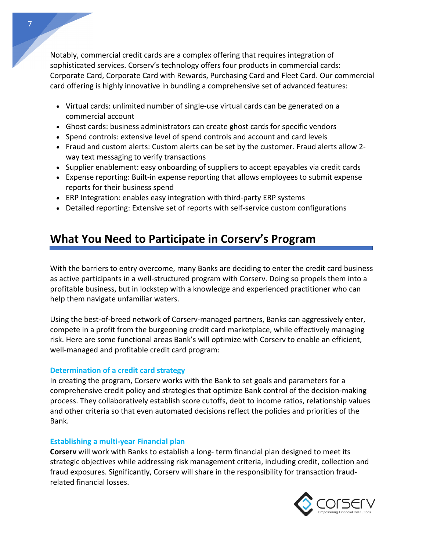Notably, commercial credit cards are a complex offering that requires integration of sophisticated services. Corserv's technology offers four products in commercial cards: Corporate Card, Corporate Card with Rewards, Purchasing Card and Fleet Card. Our commercial card offering is highly innovative in bundling a comprehensive set of advanced features:

- Virtual cards: unlimited number of single-use virtual cards can be generated on a commercial account
- Ghost cards: business administrators can create ghost cards for specific vendors
- Spend controls: extensive level of spend controls and account and card levels
- Fraud and custom alerts: Custom alerts can be set by the customer. Fraud alerts allow 2 way text messaging to verify transactions
- Supplier enablement: easy onboarding of suppliers to accept epayables via credit cards
- Expense reporting: Built-in expense reporting that allows employees to submit expense reports for their business spend
- ERP Integration: enables easy integration with third-party ERP systems
- Detailed reporting: Extensive set of reports with self-service custom configurations

## **What You Need to Participate in Corserv's Program**

With the barriers to entry overcome, many Banks are deciding to enter the credit card business as active participants in a well-structured program with Corserv. Doing so propels them into a profitable business, but in lockstep with a knowledge and experienced practitioner who can help them navigate unfamiliar waters.

Using the best-of-breed network of Corserv-managed partners, Banks can aggressively enter, compete in a profit from the burgeoning credit card marketplace, while effectively managing risk. Here are some functional areas Bank's will optimize with Corserv to enable an efficient, well-managed and profitable credit card program:

#### **Determination of a credit card strategy**

In creating the program, Corserv works with the Bank to set goals and parameters for a comprehensive credit policy and strategies that optimize Bank control of the decision-making process. They collaboratively establish score cutoffs, debt to income ratios, relationship values and other criteria so that even automated decisions reflect the policies and priorities of the Bank.

#### **Establishing a multi-year Financial plan**

**Corserv** will work with Banks to establish a long- term financial plan designed to meet its strategic objectives while addressing risk management criteria, including credit, collection and fraud exposures. Significantly, Corserv will share in the responsibility for transaction fraudrelated financial losses.